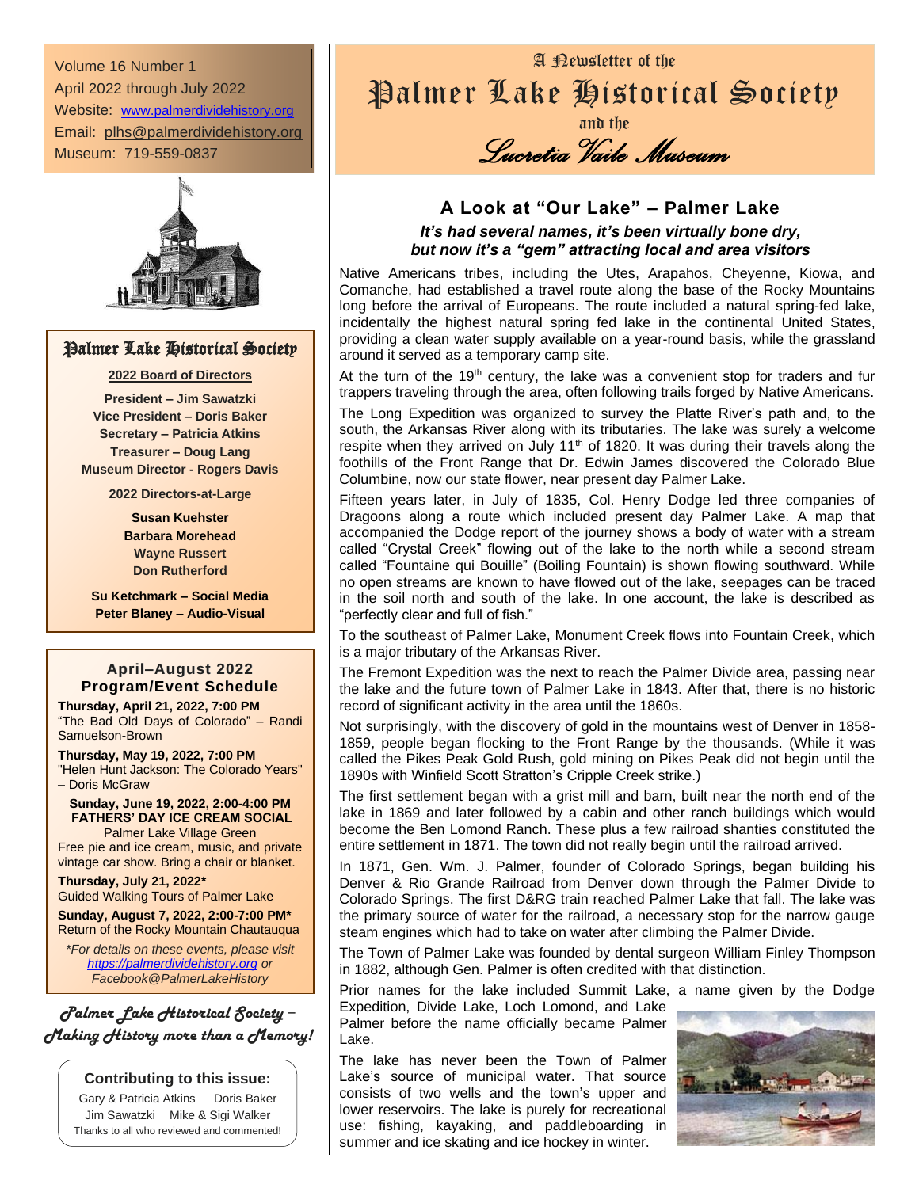Volume 16 Number 1 April 2022 through July 2022 Website: [www.palmerdividehistory.org](http://www.palmerdividehistory.org/) Email: plhs@palmerdividehistory.org Museum: 719-559-0837



### Palmer Lake Historical Society

#### **2022 Board of Directors**

**President – Jim Sawatzki Vice President – Doris Baker Secretary – Patricia Atkins Treasurer – Doug Lang Museum Director - Rogers Davis**

**2022 Directors-at-Large**

**Susan Kuehster Barbara Morehead Wayne Russert Don Rutherford**

**Su Ketchmark – Social Media Peter Blaney – Audio-Visual**

### **April–August 2022 Program/Event Schedule**

**Thursday, April 21, 2022, 7:00 PM** "The Bad Old Days of Colorado" – Randi Samuelson-Brown

**Thursday, May 19, 2022, 7:00 PM** "Helen Hunt Jackson: The Colorado Years" – Doris McGraw

**Sunday, June 19, 2022, 2:00-4:00 PM FATHERS' DAY ICE CREAM SOCIAL** Palmer Lake Village Green

Free pie and ice cream, music, and private vintage car show. Bring a chair or blanket.

**Thursday, July 21, 2022\*** Guided Walking Tours of Palmer Lake

**Sunday, August 7, 2022, 2:00-7:00 PM\*** Return of the Rocky Mountain Chautauqua

*\*For details on these events, please visit [https://palmerdividehistory.org](https://palmerdividehistory.org/) or Facebook@PalmerLakeHistory*

*Palmer Lake Historical Society* − *Making History more than a Memory!*

#### **Contributing to this issue:**

Gary & Patricia Atkins Doris Baker Jim Sawatzki Mike & Sigi Walker Thanks to all who reviewed and commented!

# A Newsletter of the Palmer Lake Historical Society

and the *Lucretia Vaile Museum* 

### **A Look at "Our Lake" – Palmer Lake** *It's had several names, it's been virtually bone dry, but now it's a "gem" attracting local and area visitors*

Native Americans tribes, including the Utes, Arapahos, Cheyenne, Kiowa, and Comanche, had established a travel route along the base of the Rocky Mountains long before the arrival of Europeans. The route included a natural spring-fed lake, incidentally the highest natural spring fed lake in the continental United States, providing a clean water supply available on a year-round basis, while the grassland around it served as a temporary camp site.

At the turn of the 19<sup>th</sup> century, the lake was a convenient stop for traders and fur trappers traveling through the area, often following trails forged by Native Americans.

The Long Expedition was organized to survey the Platte River's path and, to the south, the Arkansas River along with its tributaries. The lake was surely a welcome respite when they arrived on July 11<sup>th</sup> of 1820. It was during their travels along the foothills of the Front Range that Dr. Edwin James discovered the Colorado Blue Columbine, now our state flower, near present day Palmer Lake.

Fifteen years later, in July of 1835, Col. Henry Dodge led three companies of Dragoons along a route which included present day Palmer Lake. A map that accompanied the Dodge report of the journey shows a body of water with a stream called "Crystal Creek" flowing out of the lake to the north while a second stream called "Fountaine qui Bouille" (Boiling Fountain) is shown flowing southward. While no open streams are known to have flowed out of the lake, seepages can be traced in the soil north and south of the lake. In one account, the lake is described as "perfectly clear and full of fish."

To the southeast of Palmer Lake, Monument Creek flows into Fountain Creek, which is a major tributary of the Arkansas River.

The Fremont Expedition was the next to reach the Palmer Divide area, passing near the lake and the future town of Palmer Lake in 1843. After that, there is no historic record of significant activity in the area until the 1860s.

Not surprisingly, with the discovery of gold in the mountains west of Denver in 1858- 1859, people began flocking to the Front Range by the thousands. (While it was called the Pikes Peak Gold Rush, gold mining on Pikes Peak did not begin until the 1890s with Winfield Scott Stratton's Cripple Creek strike.)

The first settlement began with a grist mill and barn, built near the north end of the lake in 1869 and later followed by a cabin and other ranch buildings which would become the Ben Lomond Ranch. These plus a few railroad shanties constituted the entire settlement in 1871. The town did not really begin until the railroad arrived.

In 1871, Gen. Wm. J. Palmer, founder of Colorado Springs, began building his Denver & Rio Grande Railroad from Denver down through the Palmer Divide to Colorado Springs. The first D&RG train reached Palmer Lake that fall. The lake was the primary source of water for the railroad, a necessary stop for the narrow gauge steam engines which had to take on water after climbing the Palmer Divide.

The Town of Palmer Lake was founded by dental surgeon William Finley Thompson in 1882, although Gen. Palmer is often credited with that distinction.

Prior names for the lake included Summit Lake, a name given by the Dodge Expedition, Divide Lake, Loch Lomond, and Lake Palmer before the name officially became Palmer Lake.

The lake has never been the Town of Palmer Lake's source of municipal water. That source consists of two wells and the town's upper and lower reservoirs. The lake is purely for recreational use: fishing, kayaking, and paddleboarding in summer and ice skating and ice hockey in winter.

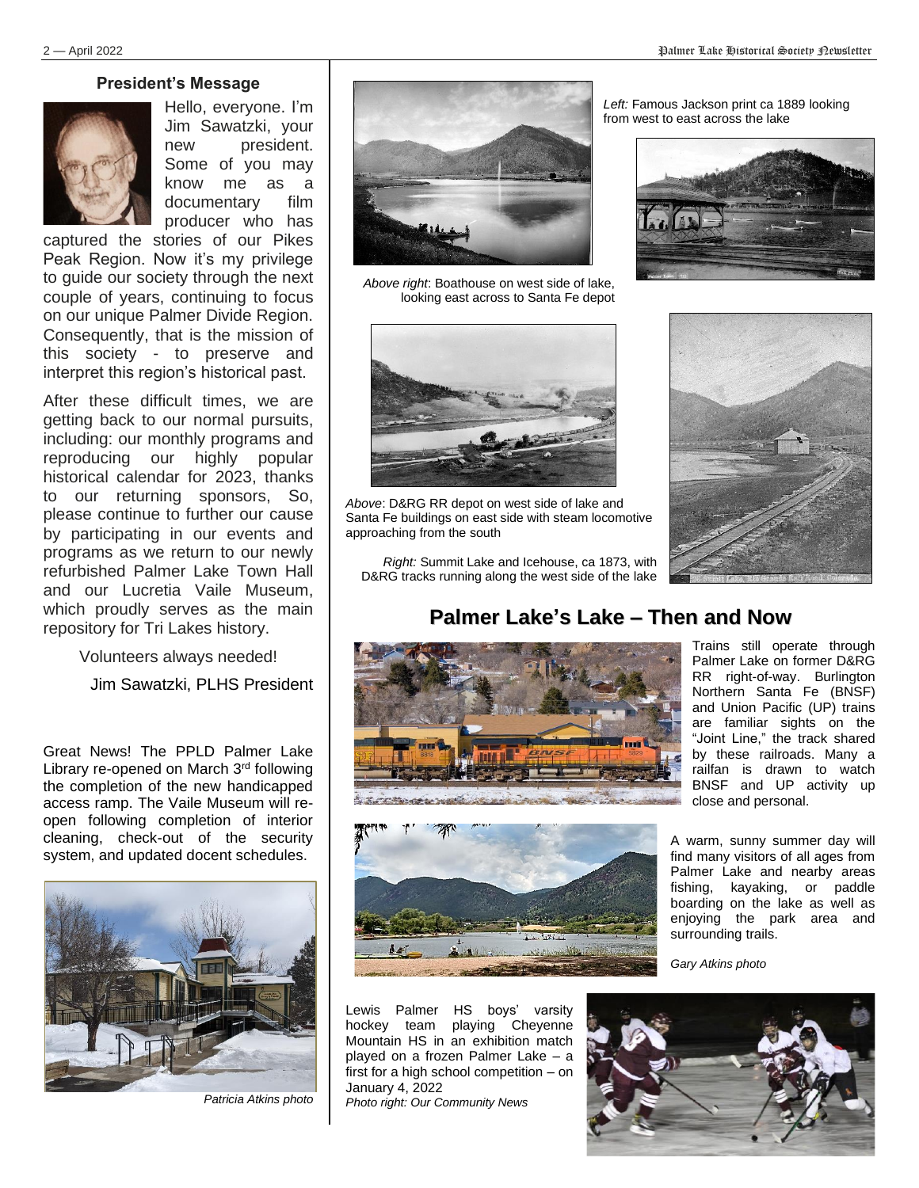#### **President's Message**



Hello, everyone. I'm Jim Sawatzki, your new president. Some of you may know me as a documentary film producer who has

captured the stories of our Pikes Peak Region. Now it's my privilege to guide our society through the next couple of years, continuing to focus on our unique Palmer Divide Region. Consequently, that is the mission of this society - to preserve and interpret this region's historical past.

After these difficult times, we are getting back to our normal pursuits, including: our monthly programs and reproducing our highly popular historical calendar for 2023, thanks to our returning sponsors, So, please continue to further our cause by participating in our events and programs as we return to our newly refurbished Palmer Lake Town Hall and our Lucretia Vaile Museum, which proudly serves as the main repository for Tri Lakes history.

Volunteers always needed!

Jim Sawatzki, PLHS President

Great News! The PPLD Palmer Lake Library re-opened on March 3rd following the completion of the new handicapped access ramp. The Vaile Museum will reopen following completion of interior cleaning, check-out of the security system, and updated docent schedules.



*Patricia Atkins photo*



*Above right*: Boathouse on west side of lake, looking east across to Santa Fe depot



*Above*: D&RG RR depot on west side of lake and Santa Fe buildings on east side with steam locomotive approaching from the south

*Right:* Summit Lake and Icehouse, ca 1873, with D&RG tracks running along the west side of the lake

*Left:* Famous Jackson print ca 1889 looking from west to east across the lake





## **Palmer Lake's Lake – Then and Now**







Lewis Palmer HS boys' varsity hockey team playing Cheyenne Mountain HS in an exhibition match played on a frozen Palmer Lake – a first for a high school competition – on January 4, 2022 *Photo right: Our Community News*

RR right-of-way. Burlington Northern Santa Fe (BNSF) and Union Pacific (UP) trains are familiar sights on the "Joint Line," the track shared by these railroads. Many a railfan is drawn to watch BNSF and UP activity up close and personal.

Trains still operate through Palmer Lake on former D&RG

A warm, sunny summer day will find many visitors of all ages from Palmer Lake and nearby areas fishing, kayaking, or paddle boarding on the lake as well as enjoying the park area and surrounding trails.

*Gary Atkins photo*

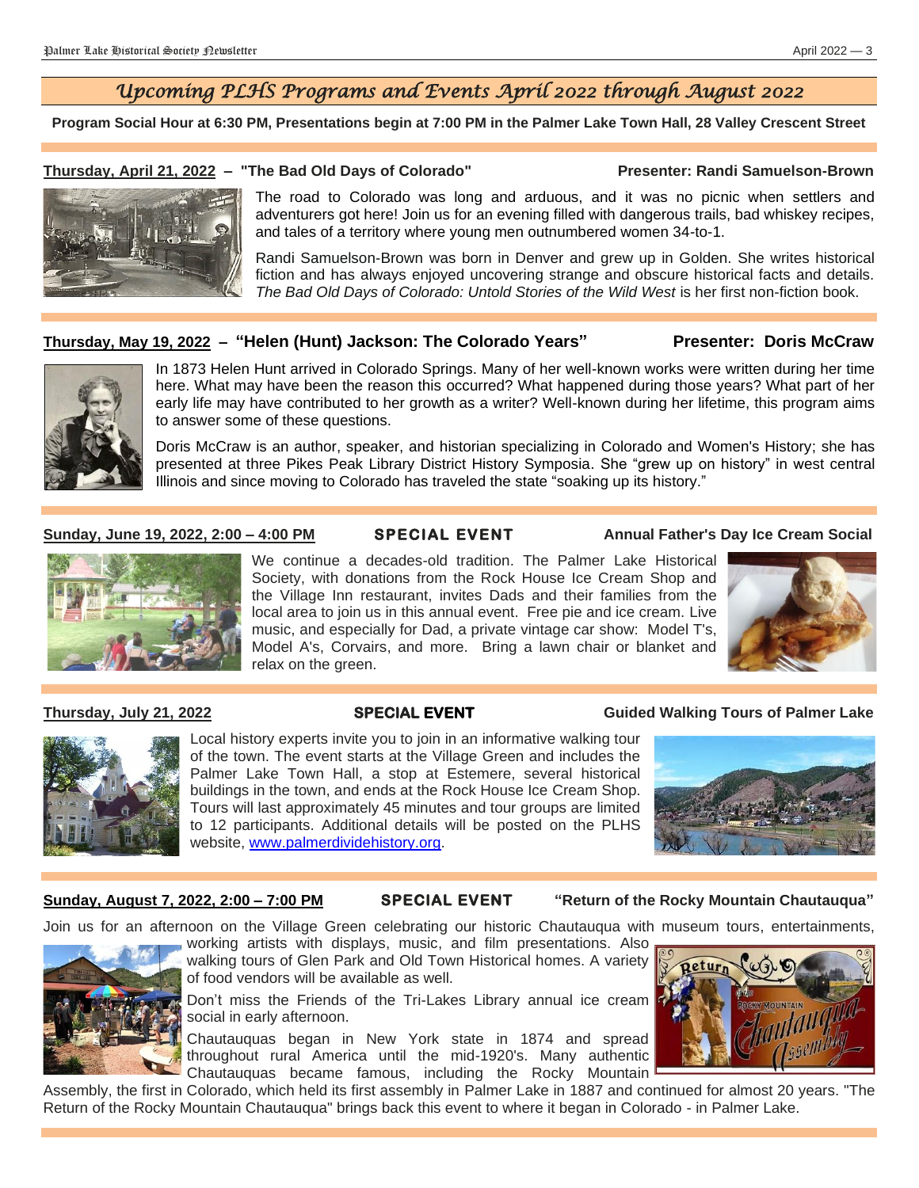## *Upcoming PLHS Programs and Events April 2022 through August 2022*

**Program Social Hour at 6:30 PM, Presentations begin at 7:00 PM in the Palmer Lake Town Hall, 28 Valley Crescent Street**

#### **Thursday, April 21, 2022 – "The Bad Old Days of Colorado" Presenter: Randi Samuelson-Brown**



The road to Colorado was long and arduous, and it was no picnic when settlers and adventurers got here! Join us for an evening filled with dangerous trails, bad whiskey recipes, and tales of a territory where young men outnumbered women 34-to-1.

Randi Samuelson-Brown was born in Denver and grew up in Golden. She writes historical fiction and has always enjoyed uncovering strange and obscure historical facts and details. *The Bad Old Days of Colorado: Untold Stories of the Wild West* is her first non-fiction book.

#### **Thursday, May 19, 2022 – "Helen (Hunt) Jackson: The Colorado Years" Presenter: Doris McCraw**



In 1873 Helen Hunt arrived in Colorado Springs. Many of her well-known works were written during her time here. What may have been the reason this occurred? What happened during those years? What part of her early life may have contributed to her growth as a writer? Well-known during her lifetime, this program aims to answer some of these questions.

Doris McCraw is an author, speaker, and historian specializing in Colorado and Women's History; she has presented at three Pikes Peak Library District History Symposia. She "grew up on history" in west central Illinois and since moving to Colorado has traveled the state "soaking up its history."

**Sunday, June 19, 2022, 2:00 – 4:00 PM SPECIAL EVENT Annual Father's Day Ice Cream Social**



We continue a decades-old tradition. The Palmer Lake Historical Society, with donations from the Rock House Ice Cream Shop and the Village Inn restaurant, invites Dads and their families from the local area to join us in this annual event. Free pie and ice cream. Live music, and especially for Dad, a private vintage car show: Model T's, Model A's, Corvairs, and more. Bring a lawn chair or blanket and relax on the green.





**Thursday, July 21, 2022 SPECIAL EVENT Guided Walking Tours of Palmer Lake**



Local history experts invite you to join in an informative walking tour of the town. The event starts at the Village Green and includes the Palmer Lake Town Hall, a stop at Estemere, several historical buildings in the town, and ends at the Rock House Ice Cream Shop. Tours will last approximately 45 minutes and tour groups are limited to 12 participants. Additional details will be posted on the PLHS website, [www.palmerdividehistory.org.](http://www.palmerdividehistory.org/)



#### **Sunday, August 7, 2022, 2:00 – 7:00 PM SPECIAL EVENT "Return of the Rocky Mountain Chautauqua"**

Join us for an afternoon on the Village Green celebrating our historic Chautauqua with museum tours, entertainments,



working artists with displays, music, and film presentations. Also walking tours of Glen Park and Old Town Historical homes. A variety of food vendors will be available as well.

Don't miss the Friends of the Tri-Lakes Library annual ice cream social in early afternoon.

Chautauquas began in New York state in 1874 and spread throughout rural America until the mid-1920's. Many authentic Chautauquas became famous, including the Rocky Mountain



Assembly, the first in Colorado, which held its first assembly in Palmer Lake in 1887 and continued for almost 20 years. "The Return of the Rocky Mountain Chautauqua" brings back this event to where it began in Colorado - in Palmer Lake.